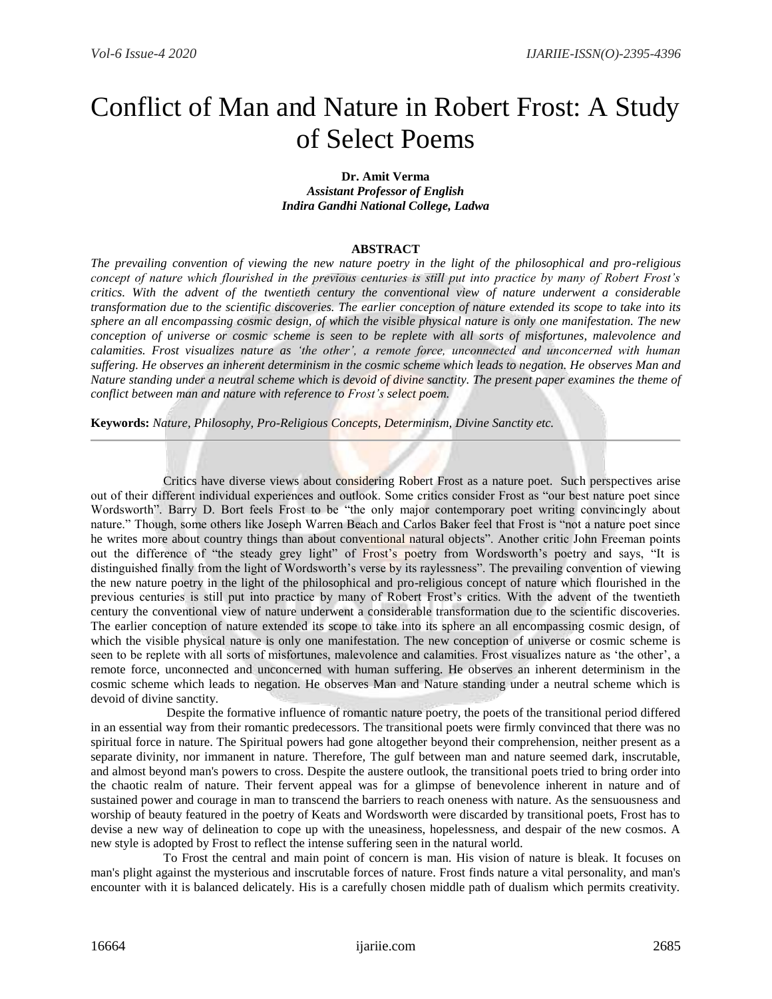# Conflict of Man and Nature in Robert Frost: A Study of Select Poems

#### **Dr. Amit Verma** *Assistant Professor of English Indira Gandhi National College, Ladwa*

# **ABSTRACT**

*The prevailing convention of viewing the new nature poetry in the light of the philosophical and pro-religious concept of nature which flourished in the previous centuries is still put into practice by many of Robert Frost's critics. With the advent of the twentieth century the conventional view of nature underwent a considerable transformation due to the scientific discoveries. The earlier conception of nature extended its scope to take into its sphere an all encompassing cosmic design, of which the visible physical nature is only one manifestation. The new conception of universe or cosmic scheme is seen to be replete with all sorts of misfortunes, malevolence and calamities. Frost visualizes nature as 'the other', a remote force, unconnected and unconcerned with human suffering. He observes an inherent determinism in the cosmic scheme which leads to negation. He observes Man and Nature standing under a neutral scheme which is devoid of divine sanctity. The present paper examines the theme of conflict between man and nature with reference to Frost's select poem.*

**Keywords:** *Nature, Philosophy, Pro-Religious Concepts, Determinism, Divine Sanctity etc.*

 Critics have diverse views about considering Robert Frost as a nature poet. Such perspectives arise out of their different individual experiences and outlook. Some critics consider Frost as "our best nature poet since Wordsworth". Barry D. Bort feels Frost to be "the only major contemporary poet writing convincingly about nature." Though, some others like Joseph Warren Beach and Carlos Baker feel that Frost is "not a nature poet since he writes more about country things than about conventional natural objects". Another critic John Freeman points out the difference of "the steady grey light" of Frost's poetry from Wordsworth's poetry and says, "It is distinguished finally from the light of Wordsworth's verse by its raylessness". The prevailing convention of viewing the new nature poetry in the light of the philosophical and pro-religious concept of nature which flourished in the previous centuries is still put into practice by many of Robert Frost's critics. With the advent of the twentieth century the conventional view of nature underwent a considerable transformation due to the scientific discoveries. The earlier conception of nature extended its scope to take into its sphere an all encompassing cosmic design, of which the visible physical nature is only one manifestation. The new conception of universe or cosmic scheme is seen to be replete with all sorts of misfortunes, malevolence and calamities. Frost visualizes nature as 'the other', a remote force, unconnected and unconcerned with human suffering. He observes an inherent determinism in the cosmic scheme which leads to negation. He observes Man and Nature standing under a neutral scheme which is devoid of divine sanctity.

 Despite the formative influence of romantic nature poetry, the poets of the transitional period differed in an essential way from their romantic predecessors. The transitional poets were firmly convinced that there was no spiritual force in nature. The Spiritual powers had gone altogether beyond their comprehension, neither present as a separate divinity, nor immanent in nature. Therefore, The gulf between man and nature seemed dark, inscrutable, and almost beyond man's powers to cross. Despite the austere outlook, the transitional poets tried to bring order into the chaotic realm of nature. Their fervent appeal was for a glimpse of benevolence inherent in nature and of sustained power and courage in man to transcend the barriers to reach oneness with nature. As the sensuousness and worship of beauty featured in the poetry of Keats and Wordsworth were discarded by transitional poets, Frost has to devise a new way of delineation to cope up with the uneasiness, hopelessness, and despair of the new cosmos. A new style is adopted by Frost to reflect the intense suffering seen in the natural world.

 To Frost the central and main point of concern is man. His vision of nature is bleak. It focuses on man's plight against the mysterious and inscrutable forces of nature. Frost finds nature a vital personality, and man's encounter with it is balanced delicately. His is a carefully chosen middle path of dualism which permits creativity.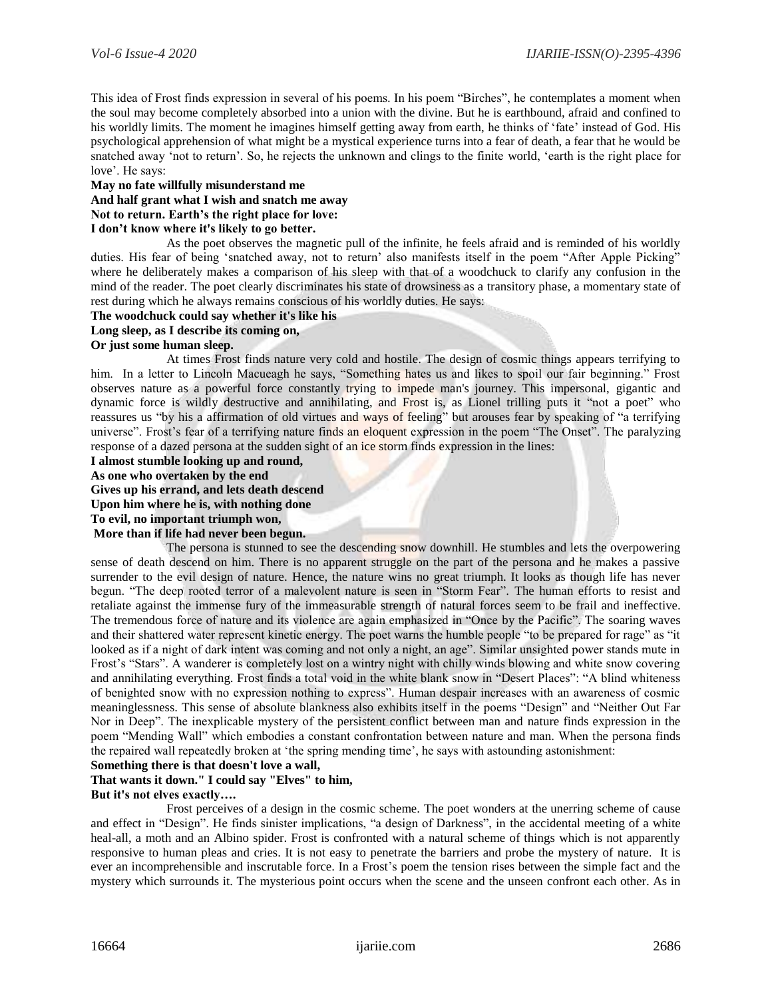This idea of Frost finds expression in several of his poems. In his poem "Birches", he contemplates a moment when the soul may become completely absorbed into a union with the divine. But he is earthbound, afraid and confined to his worldly limits. The moment he imagines himself getting away from earth, he thinks of 'fate' instead of God. His psychological apprehension of what might be a mystical experience turns into a fear of death, a fear that he would be snatched away 'not to return'. So, he rejects the unknown and clings to the finite world, 'earth is the right place for love'. He says:

#### **May no fate willfully misunderstand me**

# **And half grant what I wish and snatch me away**

# **Not to return. Earth's the right place for love:**

#### **I don't know where it's likely to go better.**

 As the poet observes the magnetic pull of the infinite, he feels afraid and is reminded of his worldly duties. His fear of being 'snatched away, not to return' also manifests itself in the poem "After Apple Picking" where he deliberately makes a comparison of his sleep with that of a woodchuck to clarify any confusion in the mind of the reader. The poet clearly discriminates his state of drowsiness as a transitory phase, a momentary state of rest during which he always remains conscious of his worldly duties. He says:

#### **The woodchuck could say whether it's like his**

#### **Long sleep, as I describe its coming on,**

#### **Or just some human sleep.**

 At times Frost finds nature very cold and hostile. The design of cosmic things appears terrifying to him. In a letter to Lincoln Macueagh he says, "Something hates us and likes to spoil our fair beginning." Frost observes nature as a powerful force constantly trying to impede man's journey. This impersonal, gigantic and dynamic force is wildly destructive and annihilating, and Frost is, as Lionel trilling puts it "not a poet" who reassures us "by his a affirmation of old virtues and ways of feeling" but arouses fear by speaking of "a terrifying universe". Frost's fear of a terrifying nature finds an eloquent expression in the poem "The Onset". The paralyzing response of a dazed persona at the sudden sight of an ice storm finds expression in the lines:

# **I almost stumble looking up and round,**

**As one who overtaken by the end** 

**Gives up his errand, and lets death descend** 

**Upon him where he is, with nothing done** 

**To evil, no important triumph won,**

#### **More than if life had never been begun.**

 The persona is stunned to see the descending snow downhill. He stumbles and lets the overpowering sense of death descend on him. There is no apparent struggle on the part of the persona and he makes a passive surrender to the evil design of nature. Hence, the nature wins no great triumph. It looks as though life has never begun. "The deep rooted terror of a malevolent nature is seen in "Storm Fear". The human efforts to resist and retaliate against the immense fury of the immeasurable strength of natural forces seem to be frail and ineffective. The tremendous force of nature and its violence are again emphasized in "Once by the Pacific". The soaring waves and their shattered water represent kinetic energy. The poet warns the humble people "to be prepared for rage" as "it looked as if a night of dark intent was coming and not only a night, an age". Similar unsighted power stands mute in Frost's "Stars". A wanderer is completely lost on a wintry night with chilly winds blowing and white snow covering and annihilating everything. Frost finds a total void in the white blank snow in "Desert Places": "A blind whiteness of benighted snow with no expression nothing to express". Human despair increases with an awareness of cosmic meaninglessness. This sense of absolute blankness also exhibits itself in the poems "Design" and "Neither Out Far Nor in Deep". The inexplicable mystery of the persistent conflict between man and nature finds expression in the poem "Mending Wall" which embodies a constant confrontation between nature and man. When the persona finds the repaired wall repeatedly broken at 'the spring mending time', he says with astounding astonishment:

# **Something there is that doesn't love a wall,**

# **That wants it down." I could say "Elves" to him,**

#### **But it's not elves exactly….**

 Frost perceives of a design in the cosmic scheme. The poet wonders at the unerring scheme of cause and effect in "Design". He finds sinister implications, "a design of Darkness", in the accidental meeting of a white heal-all, a moth and an Albino spider. Frost is confronted with a natural scheme of things which is not apparently responsive to human pleas and cries. It is not easy to penetrate the barriers and probe the mystery of nature. It is ever an incomprehensible and inscrutable force. In a Frost's poem the tension rises between the simple fact and the mystery which surrounds it. The mysterious point occurs when the scene and the unseen confront each other. As in